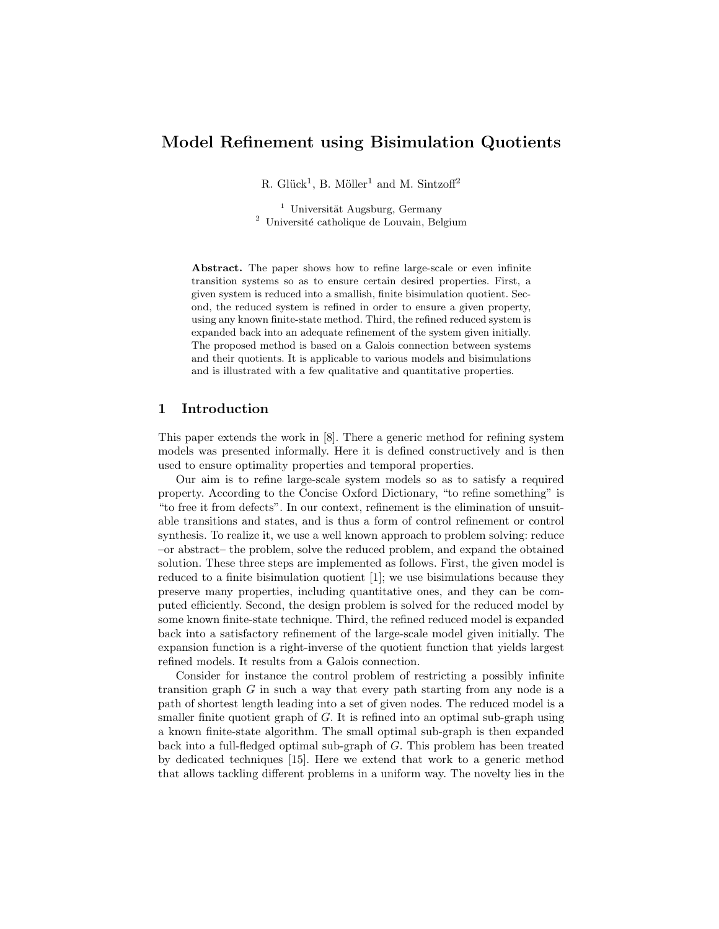# Model Refinement using Bisimulation Quotients

R. Glück<sup>1</sup>, B. Möller<sup>1</sup> and M. Sintzoff<sup>2</sup>

 $1$  Universität Augsburg, Germany <sup>2</sup> Université catholique de Louvain, Belgium

Abstract. The paper shows how to refine large-scale or even infinite transition systems so as to ensure certain desired properties. First, a given system is reduced into a smallish, finite bisimulation quotient. Second, the reduced system is refined in order to ensure a given property, using any known finite-state method. Third, the refined reduced system is expanded back into an adequate refinement of the system given initially. The proposed method is based on a Galois connection between systems and their quotients. It is applicable to various models and bisimulations and is illustrated with a few qualitative and quantitative properties.

## 1 Introduction

This paper extends the work in [8]. There a generic method for refining system models was presented informally. Here it is defined constructively and is then used to ensure optimality properties and temporal properties.

Our aim is to refine large-scale system models so as to satisfy a required property. According to the Concise Oxford Dictionary, "to refine something" is "to free it from defects". In our context, refinement is the elimination of unsuitable transitions and states, and is thus a form of control refinement or control synthesis. To realize it, we use a well known approach to problem solving: reduce –or abstract– the problem, solve the reduced problem, and expand the obtained solution. These three steps are implemented as follows. First, the given model is reduced to a finite bisimulation quotient [1]; we use bisimulations because they preserve many properties, including quantitative ones, and they can be computed efficiently. Second, the design problem is solved for the reduced model by some known finite-state technique. Third, the refined reduced model is expanded back into a satisfactory refinement of the large-scale model given initially. The expansion function is a right-inverse of the quotient function that yields largest refined models. It results from a Galois connection.

Consider for instance the control problem of restricting a possibly infinite transition graph  $G$  in such a way that every path starting from any node is a path of shortest length leading into a set of given nodes. The reduced model is a smaller finite quotient graph of G. It is refined into an optimal sub-graph using a known finite-state algorithm. The small optimal sub-graph is then expanded back into a full-fledged optimal sub-graph of G. This problem has been treated by dedicated techniques [15]. Here we extend that work to a generic method that allows tackling different problems in a uniform way. The novelty lies in the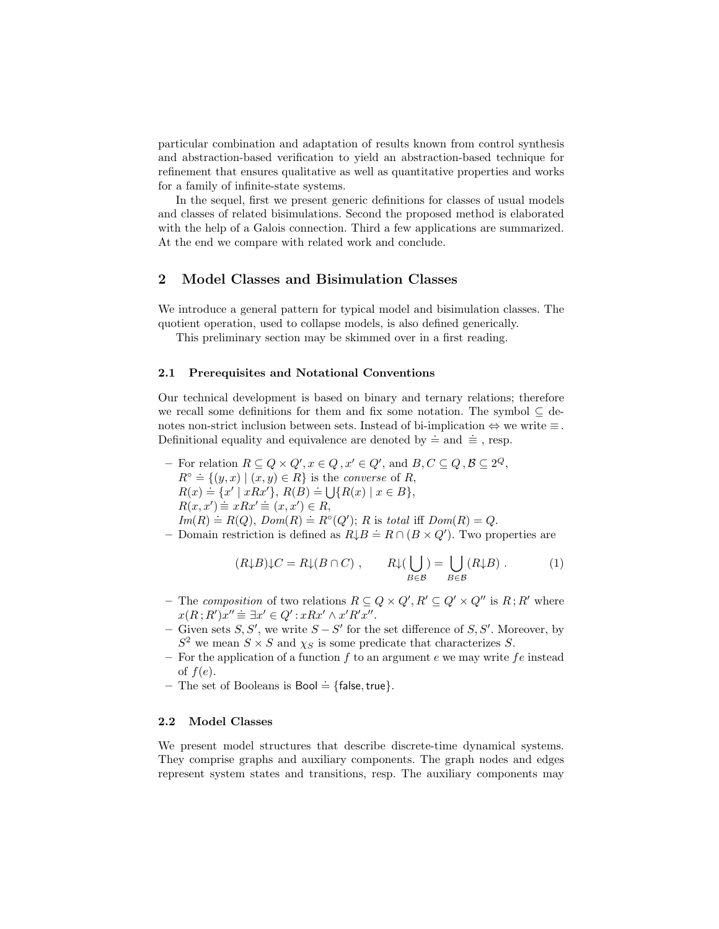particular combination and adaptation of results known from control synthesis and abstraction-based verification to yield an abstraction-based technique for refinement that ensures qualitative as well as quantitative properties and works for a family of infinite-state systems.

In the sequel, first we present generic definitions for classes of usual models and classes of related bisimulations. Second the proposed method is elaborated with the help of a Galois connection. Third a few applications are summarized. At the end we compare with related work and conclude.

### 2 Model Classes and Bisimulation Classes

We introduce a general pattern for typical model and bisimulation classes. The quotient operation, used to collapse models, is also defined generically.

This preliminary section may be skimmed over in a first reading.

#### 2.1 Prerequisites and Notational Conventions

Our technical development is based on binary and ternary relations; therefore we recall some definitions for them and fix some notation. The symbol  $\subset$  denotes non-strict inclusion between sets. Instead of bi-implication  $\Leftrightarrow$  we write  $\equiv$ . Definitional equality and equivalence are denoted by  $\dot{=}$  and  $\dot{=}$ , resp.

- For relation  $R \subseteq Q \times Q'$ ,  $x \in Q$ ,  $x' \in Q'$ , and  $B, C \subseteq Q$ ,  $B \subseteq 2^Q$ ,  $R^{\circ} \doteq \{(y,x) \mid (x,y) \in R\}$  is the *converse* of R,  $R(x) = \{(y, x) | (x, y) \in R\}$ ,  $R(B) = \bigcup \{R(x) | x \in B\}$ ,  $R(x, x') \equiv xRx' \equiv (x, x') \in R,$  $Im(R) \doteq R(Q), Dom(R) \doteq R<sup>o</sup>(Q'); R$  is total iff  $Dom(R) = Q$ .
- $A = \text{Domain restriction is defined as } R \downarrow B = R \cap (B \times Q')$ . Two properties are

$$
(R\downarrow B)\downarrow C = R\downarrow (B\cap C) , \qquad R\downarrow(\bigcup_{B\in\mathcal{B}}) = \bigcup_{B\in\mathcal{B}} (R\downarrow B) . \tag{1}
$$

- The composition of two relations  $R \subseteq Q \times Q', R' \subseteq Q' \times Q''$  is  $R; R'$  where  $x(R; R')x'' \equiv \exists x' \in Q' : xRx' \wedge x'R'x''.$
- − Given sets  $S, S'$ , we write  $S S'$  for the set difference of  $S, S'$ . Moreover, by  $S^2$  we mean  $S \times S$  and  $\chi_S$  is some predicate that characterizes S.
- For the application of a function  $f$  to an argument  $e$  we may write  $fe$  instead of  $f(e)$ .
- The set of Booleans is Bool  $\dot{=}$  {false, true}.

### 2.2 Model Classes

We present model structures that describe discrete-time dynamical systems. They comprise graphs and auxiliary components. The graph nodes and edges represent system states and transitions, resp. The auxiliary components may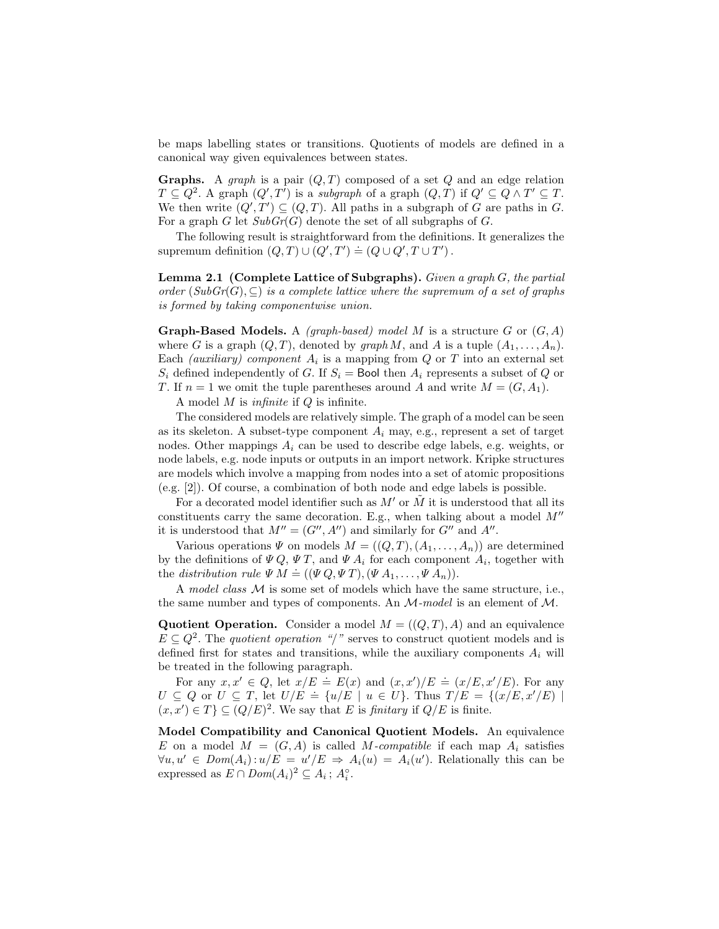be maps labelling states or transitions. Quotients of models are defined in a canonical way given equivalences between states.

**Graphs.** A graph is a pair  $(Q, T)$  composed of a set Q and an edge relation  $T \subseteq Q^2$ . A graph  $(Q', T')$  is a subgraph of a graph  $(Q, T)$  if  $Q' \subseteq Q \wedge T' \subseteq T$ . We then write  $(Q', T') \subseteq (Q, T)$ . All paths in a subgraph of G are paths in G. For a graph G let  $SubGr(G)$  denote the set of all subgraphs of G.

The following result is straightforward from the definitions. It generalizes the supremum definition  $(Q, T) \cup (Q', T') \doteq (Q \cup Q', T \cup T')$ .

**Lemma 2.1** (Complete Lattice of Subgraphs). Given a graph  $G$ , the partial order  $(SubGr(G), \subseteq)$  is a complete lattice where the supremum of a set of graphs is formed by taking componentwise union.

**Graph-Based Models.** A *(graph-based)* model M is a structure G or  $(G, A)$ where G is a graph  $(Q, T)$ , denoted by graph M, and A is a tuple  $(A_1, \ldots, A_n)$ . Each *(auxiliary)* component  $A_i$  is a mapping from  $Q$  or  $T$  into an external set  $S_i$  defined independently of G. If  $S_i$  = Bool then  $A_i$  represents a subset of Q or T. If  $n = 1$  we omit the tuple parentheses around A and write  $M = (G, A_1)$ .

A model  $M$  is *infinite* if  $Q$  is infinite.

The considered models are relatively simple. The graph of a model can be seen as its skeleton. A subset-type component  $A_i$  may, e.g., represent a set of target nodes. Other mappings  $A_i$  can be used to describe edge labels, e.g. weights, or node labels, e.g. node inputs or outputs in an import network. Kripke structures are models which involve a mapping from nodes into a set of atomic propositions (e.g. [2]). Of course, a combination of both node and edge labels is possible.

For a decorated model identifier such as  $M'$  or  $\tilde{M}$  it is understood that all its constituents carry the same decoration. E.g., when talking about a model  $M''$ it is understood that  $M'' = (G'', A'')$  and similarly for  $G''$  and  $A''$ .

Various operations  $\Psi$  on models  $M = ((Q, T), (A_1, \ldots, A_n))$  are determined by the definitions of  $\Psi Q$ ,  $\Psi T$ , and  $\Psi A_i$  for each component  $A_i$ , together with the distribution rule  $\Psi M \doteq ((\Psi Q, \Psi T), (\Psi A_1, \dots, \Psi A_n)).$ 

A model class M is some set of models which have the same structure, i.e., the same number and types of components. An  $\mathcal{M}$ -model is an element of  $\mathcal{M}$ .

Quotient Operation. Consider a model  $M = ((Q, T), A)$  and an equivalence  $E \subseteq Q^2$ . The *quotient operation* "/" serves to construct quotient models and is defined first for states and transitions, while the auxiliary components  $A_i$  will be treated in the following paragraph.

For any  $x, x' \in Q$ , let  $x/E = E(x)$  and  $(x, x')/E = (x/E, x'/E)$ . For any  $U \subseteq Q$  or  $U \subseteq T$ , let  $U/E = \{u/E \mid u \in U\}$ . Thus  $T/E = \{(x/E, x'/E) \mid$  $(x, x') \in T$   $\subseteq (Q/E)^2$ . We say that E is finitary if  $Q/E$  is finite.

Model Compatibility and Canonical Quotient Models. An equivalence E on a model  $M = (G, A)$  is called M-compatible if each map  $A_i$  satisfies  $\forall u, u' \in Dom(A_i): u/E = u'/E \Rightarrow A_i(u) = A_i(u')$ . Relationally this can be expressed as  $E \cap Dom(A_i)^2 \subseteq A_i$ ;  $A_i^{\circ}$ .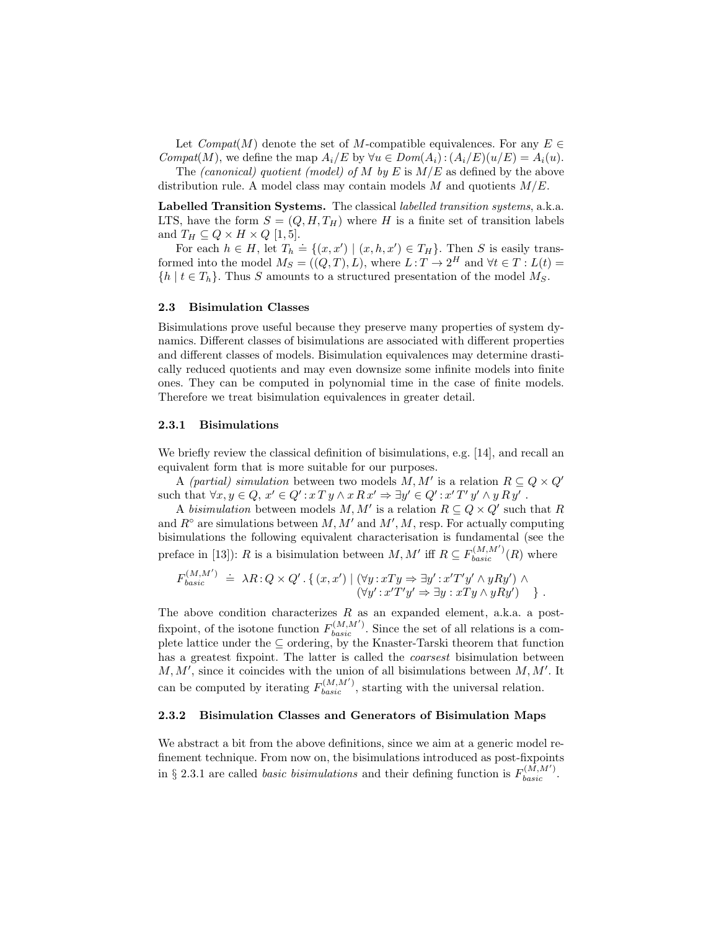Let  $Compat(M)$  denote the set of M-compatible equivalences. For any  $E \in$ Compat(M), we define the map  $A_i/E$  by  $\forall u \in Dom(A_i) : (A_i/E)(u/E) = A_i(u)$ .

The *(canonical)* quotient *(model)* of M by E is  $M/E$  as defined by the above distribution rule. A model class may contain models M and quotients  $M/E$ .

Labelled Transition Systems. The classical labelled transition systems, a.k.a. LTS, have the form  $S = (Q, H, T_H)$  where H is a finite set of transition labels and  $T_H \subseteq Q \times H \times Q$  [1, 5].

For each  $h \in H$ , let  $T_h \doteq \{(x, x') | (x, h, x') \in T_H\}$ . Then S is easily transformed into the model  $M_S = ((Q, T), L)$ , where  $L: T \to 2^H$  and  $\forall t \in T: L(t) =$  $\{h \mid t \in T_h\}$ . Thus S amounts to a structured presentation of the model  $M_S$ .

### 2.3 Bisimulation Classes

Bisimulations prove useful because they preserve many properties of system dynamics. Different classes of bisimulations are associated with different properties and different classes of models. Bisimulation equivalences may determine drastically reduced quotients and may even downsize some infinite models into finite ones. They can be computed in polynomial time in the case of finite models. Therefore we treat bisimulation equivalences in greater detail.

### 2.3.1 Bisimulations

We briefly review the classical definition of bisimulations, e.g. [14], and recall an equivalent form that is more suitable for our purposes.

A (partial) simulation between two models  $M, M'$  is a relation  $R \subseteq Q \times Q'$ such that  $\forall x, y \in Q, x' \in Q' : x \in Y \land x \in X' \Rightarrow \exists y' \in Q' : x' \in Y' \land y \in Y'$ .

A bisimulation between models M, M' is a relation  $R \subseteq Q \times Q'$  such that R and  $R^{\circ}$  are simulations between  $M, M'$  and  $M', M$ , resp. For actually computing bisimulations the following equivalent characterisation is fundamental (see the preface in [13]): R is a bisimulation between  $M, M'$  iff  $R \subseteq F_{basic}^{(M, M')}(R)$  where

$$
F_{basic}^{(M,M')} \doteq \lambda R: Q \times Q'.\left\{ (x, x') \mid (\forall y: xTy \Rightarrow \exists y': x'T'y' \land yRy') \land (\forall y': x'T'y' \Rightarrow \exists y: xTy \land yRy') \right\}.
$$

The above condition characterizes  $R$  as an expanded element, a.k.a. a postfixpoint, of the isotone function  $F_{basic}^{(M,M')}$ . Since the set of all relations is a complete lattice under the ⊆ ordering, by the Knaster-Tarski theorem that function has a greatest fixpoint. The latter is called the *coarsest* bisimulation between  $M, M'$ , since it coincides with the union of all bisimulations between  $M, M'$ . It can be computed by iterating  $F_{basic}^{(M,M')}$ , starting with the universal relation.

### 2.3.2 Bisimulation Classes and Generators of Bisimulation Maps

We abstract a bit from the above definitions, since we aim at a generic model refinement technique. From now on, the bisimulations introduced as post-fixpoints in § 2.3.1 are called *basic bisimulations* and their defining function is  $F_{basic}^{(M,M')}$ .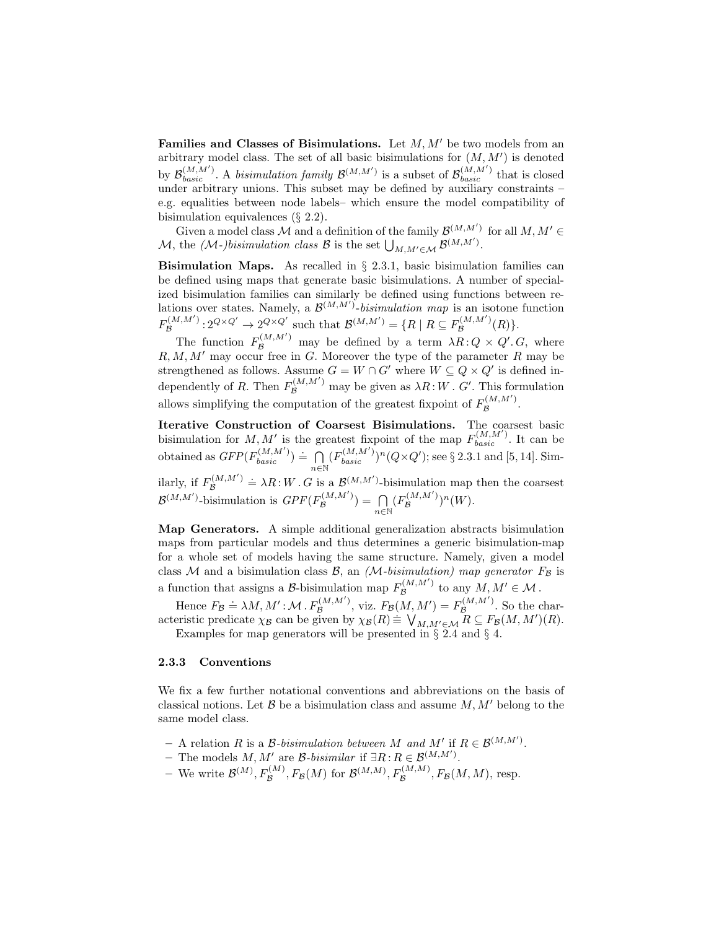Families and Classes of Bisimulations. Let  $M, M'$  be two models from an arbitrary model class. The set of all basic bisimulations for  $(M, M')$  is denoted by  $\mathcal{B}_{basic}^{(M,M')}$ . A bisimulation family  $\mathcal{B}^{(M,M')}$  is a subset of  $\mathcal{B}_{basic}^{(M,M')}$  that is closed under arbitrary unions. This subset may be defined by auxiliary constraints – e.g. equalities between node labels– which ensure the model compatibility of bisimulation equivalences (§ 2.2).

Given a model class M and a definition of the family  $\mathcal{B}^{(M,M')}$  for all  $M, M' \in$ M, the (M-)bisimulation class B is the set  $\bigcup_{M,M'\in\mathcal{M}}\mathcal{B}^{(M,M')}$ .

**Bisimulation Maps.** As recalled in  $\S$  2.3.1, basic bisimulation families can be defined using maps that generate basic bisimulations. A number of specialized bisimulation families can similarly be defined using functions between relations over states. Namely, a  $\mathcal{B}^{(M,M')}$ -bisimulation map is an isotone function  $F_{\mathcal{B}}^{(M,M')}$  $B^{(M,M')}$ :  $2^{Q \times Q'} \rightarrow 2^{Q \times Q'}$  such that  $\mathcal{B}^{(M,M')} = \{R \mid R \subseteq F_{\mathcal{B}}^{(M,M')}$  $B^{(M,M_-)}(R)\}.$ 

The function  $F_{\mathcal{B}}^{(M,M')}$  may be defined by a term  $\lambda R: Q \times Q'.G$ , where  $R, M, M'$  may occur free in G. Moreover the type of the parameter R may be strengthened as follows. Assume  $G = W \cap G'$  where  $W \subseteq Q \times Q'$  is defined independently of R. Then  $F_{\mathcal{B}}^{(M,M')}$  may be given as  $\lambda R$ : W. G'. This formulation allows simplifying the computation of the greatest fixpoint of  $F_{\mathcal{B}}^{(M,M')}$  $\mathcal{B} \mathcal{B}$ .

Iterative Construction of Coarsest Bisimulations. The coarsest basic bisimulation for  $M, M'$  is the greatest fixpoint of the map  $F_{basic}^{(M, M')}$ . It can be obtained as  $GFP(F_{basic}^{(M,M')}) \doteq \bigcap$  $n \in \mathbb{N}$  $(F_{basic}^{(M,M')})^n(Q \times Q')$ ; see § 2.3.1 and [5, 14]. Sim-

ilarly, if  $F_{\mathcal{B}}^{(M,M')}$  $B^{(M,M')}$  =  $\lambda R: W \cdot G$  is a  $\mathcal{B}^{(M,M')}$ -bisimulation map then the coarsest  $\mathcal{B}^{(M,M')}$ -bisimulation is  $GPF(F_{\mathcal{B}}^{(M,M')}$  $\mathcal{B}^{(M,M)}$ ) =  $\bigcap$  $n\in\mathbb{N}$  $(F_{\mathcal{B}}^{(M,M')}$  $(\mathcal{B}^{(M,M')})^n(W).$ 

Map Generators. A simple additional generalization abstracts bisimulation maps from particular models and thus determines a generic bisimulation-map for a whole set of models having the same structure. Namely, given a model class M and a bisimulation class B, an  $(M-bisimulation)$  map generator  $F<sub>\beta</sub>$  is a function that assigns a B-bisimulation map  $F_{\mathcal{B}}^{(M,M')}$  $\mathcal{B}^{(M,M')}$  to any  $M, M' \in \mathcal{M}$ .

Hence  $F_{\mathcal{B}} \doteq \lambda M, M' : \mathcal{M} \cdot F_{\mathcal{B}}^{(M,M')}$  $E_{\mathcal{B}}^{(M,M')}$ , viz.  $F_{\mathcal{B}}(M,M') = F_{\mathcal{B}}^{(M,M')}$  $\mathcal{B}^{(M,M)}$ . So the characteristic predicate  $\chi_B$  can be given by  $\chi_B(R) \equiv \bigvee_{M,M' \in \mathcal{M}} R \subseteq F_B(M,M')(R)$ .

Examples for map generators will be presented in  $\S 2.4$  and  $\S 4$ .

#### 2.3.3 Conventions

We fix a few further notational conventions and abbreviations on the basis of classical notions. Let  $\mathcal B$  be a bisimulation class and assume  $M, M'$  belong to the same model class.

- $-$  A relation R is a B-bisimulation between M and M' if  $R \in \mathcal{B}^{(M,M')}$ .
- The models  $M, M'$  are  $\mathcal{B}\text{-}bisimilar$  if  $\exists R: R \in \mathcal{B}^{(M,M')}$ .
- We write  $\mathcal{B}^{(M)}, F_{\mathcal{B}}^{(M)}, F_{\mathcal{B}}(M)$  for  $\mathcal{B}^{(M,M)}, F_{\mathcal{B}}^{(M,M)}, F_{\mathcal{B}}(M,M)$ , resp.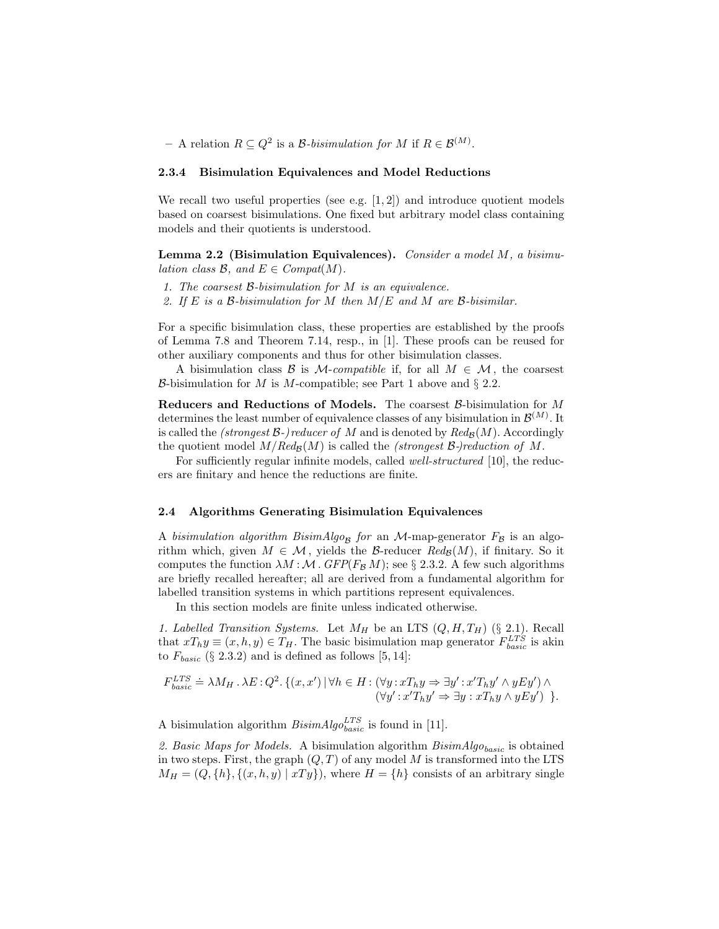$-$  A relation  $R \subseteq Q^2$  is a *B*-bisimulation for M if  $R \in \mathcal{B}^{(M)}$ .

#### 2.3.4 Bisimulation Equivalences and Model Reductions

We recall two useful properties (see e.g.  $[1, 2]$ ) and introduce quotient models based on coarsest bisimulations. One fixed but arbitrary model class containing models and their quotients is understood.

Lemma 2.2 (Bisimulation Equivalences). Consider a model  $M$ , a bisimulation class  $\mathcal{B}$ , and  $E \in \text{Compat}(M)$ .

- 1. The coarsest B-bisimulation for M is an equivalence.
- 2. If E is a B-bisimulation for M then  $M/E$  and M are B-bisimilar.

For a specific bisimulation class, these properties are established by the proofs of Lemma 7.8 and Theorem 7.14, resp., in [1]. These proofs can be reused for other auxiliary components and thus for other bisimulation classes.

A bisimulation class B is M-compatible if, for all  $M \in \mathcal{M}$ , the coarsest B-bisimulation for M is M-compatible; see Part 1 above and  $\S 2.2$ .

Reducers and Reductions of Models. The coarsest  $\beta$ -bisimulation for M determines the least number of equivalence classes of any bisimulation in  $\mathcal{B}^{(M)}$ . It is called the (strongest  $\mathcal{B}$ -)reducer of M and is denoted by  $Red_{\mathcal{B}}(M)$ . Accordingly the quotient model  $M/Red_B(M)$  is called the *(strongest B-)reduction of M*.

For sufficiently regular infinite models, called *well-structured* [10], the reducers are finitary and hence the reductions are finite.

#### 2.4 Algorithms Generating Bisimulation Equivalences

A bisimulation algorithm BisimAlgo<sub>B</sub> for an M-map-generator  $F_B$  is an algorithm which, given  $M \in \mathcal{M}$ , yields the B-reducer  $Red_{\mathcal{B}}(M)$ , if finitary. So it computes the function  $\lambda M : \mathcal{M}$ .  $GFP(F_{\mathcal{B}} M)$ ; see § 2.3.2. A few such algorithms are briefly recalled hereafter; all are derived from a fundamental algorithm for labelled transition systems in which partitions represent equivalences.

In this section models are finite unless indicated otherwise.

1. Labelled Transition Systems. Let  $M_H$  be an LTS  $(Q, H, T_H)$  (§ 2.1). Recall that  $xT_h y \equiv (x, h, y) \in T_H$ . The basic bisimulation map generator  $F_{basic}^{LTS}$  is akin to  $F_{basic}$  (§ 2.3.2) and is defined as follows [5, 14]:

$$
F_{basic}^{LTS} \doteq \lambda M_H \cdot \lambda E : Q^2 \cdot \{(x, x') \mid \forall h \in H : (\forall y : xT_h y \Rightarrow \exists y' : x'T_h y' \land yEy') \land (\forall y' : x'T_h y' \Rightarrow \exists y : xT_h y \land yEy') \}.
$$

A bisimulation algorithm  $BisimAlgo_{basic}^{LTS}$  is found in [11].

2. Basic Maps for Models. A bisimulation algorithm  $BisimAlgo_{basic}$  is obtained in two steps. First, the graph  $(Q, T)$  of any model M is transformed into the LTS  $M_H = (Q, \{h\}, \{(x, h, y) \mid xTy\})$ , where  $H = \{h\}$  consists of an arbitrary single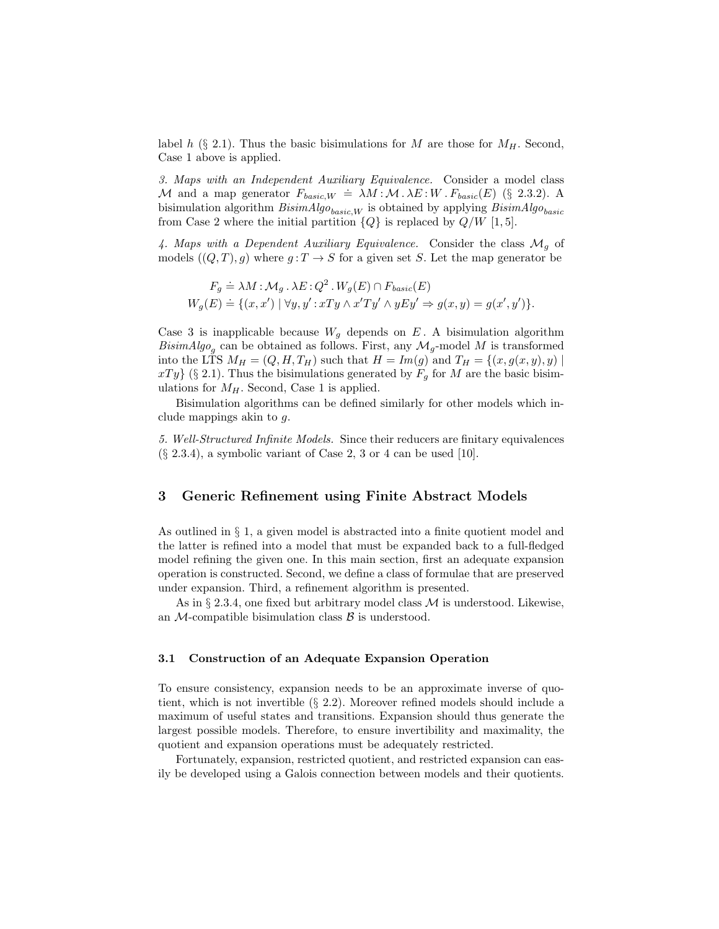label h (§ 2.1). Thus the basic bisimulations for M are those for  $M_H$ . Second, Case 1 above is applied.

3. Maps with an Independent Auxiliary Equivalence. Consider a model class M and a map generator  $F_{basic,W} = \lambda M : M \cdot \lambda E : W \cdot F_{basic}(E)$  (§ 2.3.2). A bisimulation algorithm  $BisimAlg_{basic,W}$  is obtained by applying  $BisimAlg_{basic}$ from Case 2 where the initial partition  ${Q}$  is replaced by  $Q/W$  [1, 5].

4. Maps with a Dependent Auxiliary Equivalence. Consider the class  $\mathcal{M}_q$  of models  $((Q, T), g)$  where  $g: T \to S$  for a given set S. Let the map generator be

$$
F_g \doteq \lambda M \colon \mathcal{M}_g \cdot \lambda E : Q^2 \cdot W_g(E) \cap F_{basic}(E)
$$
  

$$
W_g(E) \doteq \{ (x, x') \mid \forall y, y' : xTy \wedge x'Ty' \wedge yEy' \Rightarrow g(x, y) = g(x', y') \}.
$$

Case 3 is inapplicable because  $W_g$  depends on E. A bisimulation algorithm BisimAlgo<sub>g</sub> can be obtained as follows. First, any  $\mathcal{M}_g$ -model M is transformed into the LTS  $M_H = (Q, H, T_H)$  such that  $H = Im(g)$  and  $T_H = \{(x, g(x, y), y) \mid$  $xTy$  (§ 2.1). Thus the bisimulations generated by  $F_q$  for M are the basic bisimulations for  $M_H$ . Second, Case 1 is applied.

Bisimulation algorithms can be defined similarly for other models which include mappings akin to g.

5. Well-Structured Infinite Models. Since their reducers are finitary equivalences  $(\S$  2.3.4), a symbolic variant of Case 2, 3 or 4 can be used [10].

# 3 Generic Refinement using Finite Abstract Models

As outlined in § 1, a given model is abstracted into a finite quotient model and the latter is refined into a model that must be expanded back to a full-fledged model refining the given one. In this main section, first an adequate expansion operation is constructed. Second, we define a class of formulae that are preserved under expansion. Third, a refinement algorithm is presented.

As in  $\S 2.3.4$ , one fixed but arbitrary model class M is understood. Likewise, an  $\mathcal{M}\text{-compatible bisimulation class } \mathcal{B}$  is understood.

#### 3.1 Construction of an Adequate Expansion Operation

To ensure consistency, expansion needs to be an approximate inverse of quotient, which is not invertible (§ 2.2). Moreover refined models should include a maximum of useful states and transitions. Expansion should thus generate the largest possible models. Therefore, to ensure invertibility and maximality, the quotient and expansion operations must be adequately restricted.

Fortunately, expansion, restricted quotient, and restricted expansion can easily be developed using a Galois connection between models and their quotients.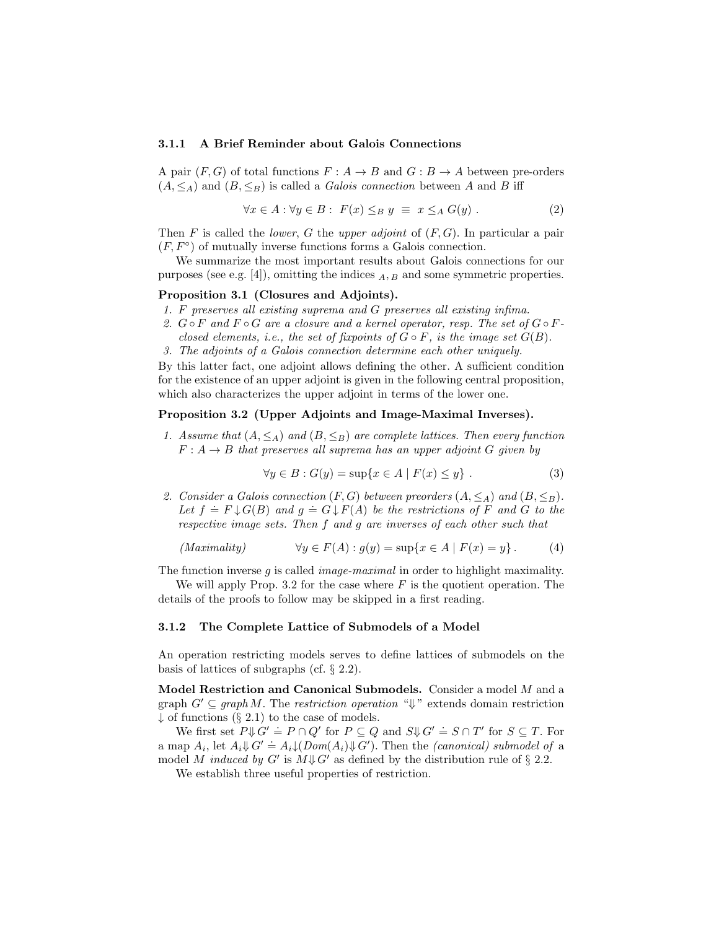#### 3.1.1 A Brief Reminder about Galois Connections

A pair  $(F, G)$  of total functions  $F : A \to B$  and  $G : B \to A$  between pre-orders  $(A, \leq_A)$  and  $(B, \leq_B)$  is called a *Galois connection* between A and B iff

$$
\forall x \in A : \forall y \in B : F(x) \leq_B y \equiv x \leq_A G(y) . \tag{2}
$$

Then F is called the *lower*, G the *upper adjoint* of  $(F, G)$ . In particular a pair  $(F, F^{\circ})$  of mutually inverse functions forms a Galois connection.

We summarize the most important results about Galois connections for our purposes (see e.g. [4]), omitting the indices  $_A$ ,  $_B$  and some symmetric properties.

#### Proposition 3.1 (Closures and Adjoints).

- 1. F preserves all existing suprema and G preserves all existing infima.
- 2.  $G \circ F$  and  $F \circ G$  are a closure and a kernel operator, resp. The set of  $G \circ F$ closed elements, i.e., the set of fixpoints of  $G \circ F$ , is the image set  $G(B)$ .
- 3. The adjoints of a Galois connection determine each other uniquely.

By this latter fact, one adjoint allows defining the other. A sufficient condition for the existence of an upper adjoint is given in the following central proposition, which also characterizes the upper adjoint in terms of the lower one.

### Proposition 3.2 (Upper Adjoints and Image-Maximal Inverses).

1. Assume that  $(A, \leq_A)$  and  $(B, \leq_B)$  are complete lattices. Then every function  $F: A \rightarrow B$  that preserves all suprema has an upper adjoint G given by

$$
\forall y \in B : G(y) = \sup\{x \in A \mid F(x) \le y\} .
$$
 (3)

2. Consider a Galois connection  $(F, G)$  between preorders  $(A, \leq_A)$  and  $(B, \leq_B)$ . Let  $f = F \downarrow G(B)$  and  $g = G \downarrow F(A)$  be the restrictions of F and G to the respective image sets. Then f and g are inverses of each other such that

$$
(Maximality) \qquad \forall y \in F(A) : g(y) = \sup\{x \in A \mid F(x) = y\}.
$$
 (4)

The function inverse g is called *image-maximal* in order to highlight maximality.

We will apply Prop. 3.2 for the case where  $F$  is the quotient operation. The details of the proofs to follow may be skipped in a first reading.

#### 3.1.2 The Complete Lattice of Submodels of a Model

An operation restricting models serves to define lattices of submodels on the basis of lattices of subgraphs (cf. § 2.2).

Model Restriction and Canonical Submodels. Consider a model M and a graph  $G' \subseteq graph M$ . The *restriction operation* " $\Downarrow$ " extends domain restriction  $\downarrow$  of functions (§ 2.1) to the case of models.

We first set  $P \Downarrow G' = P \cap Q'$  for  $P \subseteq Q$  and  $S \Downarrow G' = S \cap T'$  for  $S \subseteq T$ . For a map  $A_i$ , let  $A_i \Downarrow G' = A_i \downarrow (Dom(A_i) \Downarrow G')$ . Then the *(canonical) submodel of* a model M induced by G' is  $M \downarrow G'$  as defined by the distribution rule of § 2.2.

We establish three useful properties of restriction.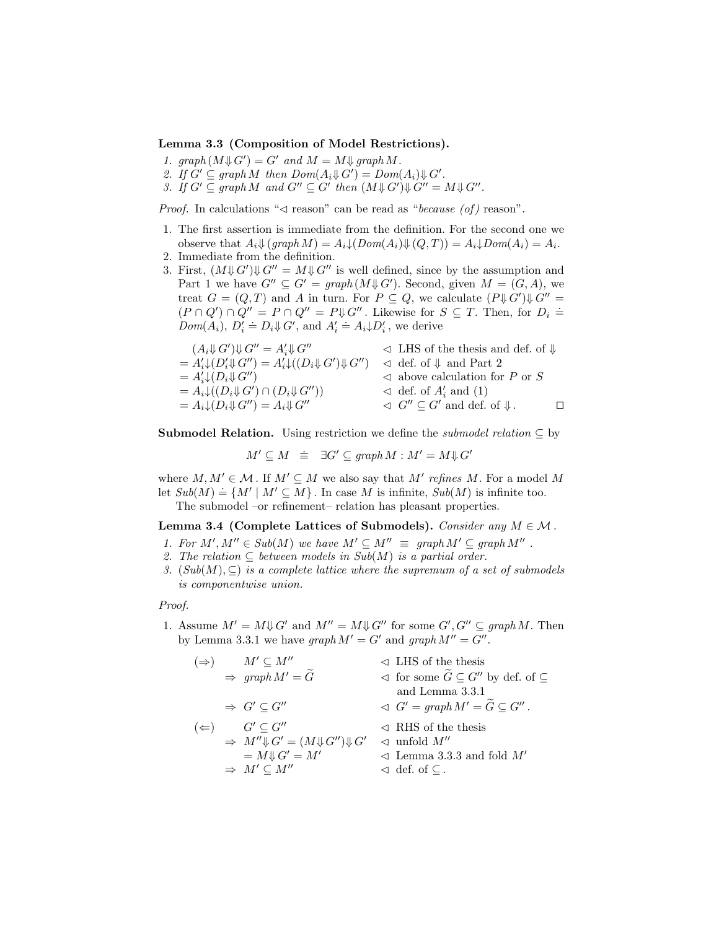#### Lemma 3.3 (Composition of Model Restrictions).

- 1.  $graph(M\Downarrow G') = G'$  and  $M = M\Downarrow graph M$ .
- 2. If  $G' \subseteq graph M$  then  $Dom(A_i \Downarrow G') = Dom(A_i) \Downarrow G'$ .
- 3. If  $G' \subseteq graph M$  and  $G'' \subseteq G'$  then  $(M \downarrow G') \downarrow G'' = M \downarrow G''$ .

*Proof.* In calculations " $\triangleleft$  reason" can be read as "because (of) reason".

- 1. The first assertion is immediate from the definition. For the second one we observe that  $A_i \Downarrow (graph M) = A_i \downarrow (Dom(A_i) \Downarrow (Q, T)) = A_i \downarrow Dom(A_i) = A_i.$
- 2. Immediate from the definition.
- 3. First,  $(M\mathcal{H}G')\mathcal{H}G'' = M\mathcal{H}G''$  is well defined, since by the assumption and Part 1 we have  $G'' \subseteq G' = graph(M \Downarrow G')$ . Second, given  $M = (G, A)$ , we treat  $G = (Q, T)$  and A in turn. For  $P \subseteq Q$ , we calculate  $(P \n\downarrow G') \n\downarrow G'' =$  $(P \cap Q') \cap Q'' = P \cap Q'' = P \Downarrow G''$ . Likewise for  $S \subseteq T$ . Then, for  $D_i \doteq (P \cap Q') \cap Q'' = P \cap Q'' = P \Downarrow G''$ .  $Dom(A_i), D'_i \doteq D_i \Downarrow G'$ , and  $A'_i \doteq A_i \Downarrow D'_i$ , we derive

$$
(A_i \nV G')\nV G'' = A'_i \nV G'' \qquad \lhd \text{LHS of the thesis and def. of } \nV = A'_i \nV (D'_i \nV G'') = A'_i \nV (D_i \nV G') \qquad \lhd \text{def. of } \nV \text{ and Part 2} \\
= A'_i \nV (D_i \nV G'') \qquad \lhd \text{above calculation for } P \text{ or } S \\
= A_i \nV (D_i \nV G') \cap (D_i \nV G'') \\
= A_i \nV (D_i \nV G'') = A_i \nV G'' \qquad \lhd \text{def. of } A'_i \text{ and } (1) \\
= A_i \nV (D_i \nV G'') = A_i \nV G'' \qquad \lhd \text{def. of } A'_i \text{ and } (1) \\
= A_i \nV (D_i \nV G'') = A_i \nV G'' \qquad \lhd \text{def. of } A'_i \text{ and } (1) \\
= A_i \nV (D_i \nV G'') = A_i \nV G'' \qquad \lhd \text{def. of } A'_i \text{ and } (1) \\
= A_i \nV G'' \qquad \lhd \text{def. of } A'_i \text{ and } (1) \\
= A_i \nV G'' \qquad \lhd \text{def. of } A'_i \text{ and } (1) \\
= A_i \nV G'' \qquad \lhd \text{def. of } A'_i \text{ and } (1) \\
= A_i \nV G'' \qquad \lhd \text{def. of } A'_i \text{ and } (1) \\
= A_i \nV G'' \qquad \lhd \text{def. of } A'_i \text{ and } (1) \\
= A_i \nV G'' \qquad \lhd \text{def. of } A'_i \text{ and } (1) \\
= A_i \nV G'' \qquad \lhd \text{def. of } A'_i \text{ and } (1) \\
= A_i \nV G'' \qquad \lhd \text{def. of } A'_i \text{ and } (1) \\
= A_i \nV G'' \qquad \lhd \text{def. of } A'_i \text{ and } (1) \\
= A_i \nV G'' \qquad \lhd \text{def. of } A'_i \text{ and } (1) \\
= A_i \nV G'' \qquad \lhd \text{def. of } A'_i \text{ and } (1) \\
= A_i \nV G'' \qquad \lhd \text{def. of } A'_i \text{ and } (1) \\
= A_i \nV G''
$$

**Submodel Relation.** Using restriction we define the *submodel relation*  $\subseteq$  by

$$
M' \subseteq M \ \equiv \ \exists G' \subseteq graph \, M : M' = M \Downarrow G'
$$

where  $M, M' \in \mathcal{M}$ . If  $M' \subseteq M$  we also say that  $M'$  refines M. For a model M Let  $Sub(M) \doteq \{M' \mid M' \subseteq M\}$ . In case M is infinite,  $Sub(M)$  is infinite too. The submodel –or refinement– relation has pleasant properties.

Lemma 3.4 (Complete Lattices of Submodels). Consider any  $M \in \mathcal{M}$ .

- 1. For  $M', M'' \in Sub(M)$  we have  $M' \subseteq M'' \equiv graph M' \subseteq graph M''$ .
- 2. The relation  $\subseteq$  between models in Sub(M) is a partial order.
- 3.  $(Sub(M), \subseteq)$  is a complete lattice where the supremum of a set of submodels is componentwise union.

#### Proof.

- 1. Assume  $M' = M \downarrow G'$  and  $M'' = M \downarrow G''$  for some  $G', G'' \subseteq graph M$ . Then by Lemma 3.3.1 we have  $graph M' = G'$  and  $graph M'' = G''$ .
	- ( $\Rightarrow$ )  $M' \subseteq M''$   $\triangleleft$  LHS of the thesis  $\Rightarrow \text{ graph } M' = \widetilde{G}$   $\triangleleft$  for some  $\widetilde{G} \subseteq G''$  by def. of  $\subseteq$ and Lemma 3.3.1  $\Rightarrow G' \subseteq G''$   $\lhd G' = graph M' = \widetilde{G} \subseteq G''$ . ( $\Leftarrow$ )  $G' \subseteq G''$   $\triangleleft$  RHS of the thesis  $\Rightarrow M'' \downarrow G' = (M \downarrow G'') \downarrow G' \quad \triangleleft \text{unfold } M''$  $= M \sqrt[n]{G'} = M'$   $\triangleleft$  Lemma 3.3.3 and fold  $M'$  $\Rightarrow M' \subseteq M''$   $\triangleleft$  def. of  $\subseteq$ .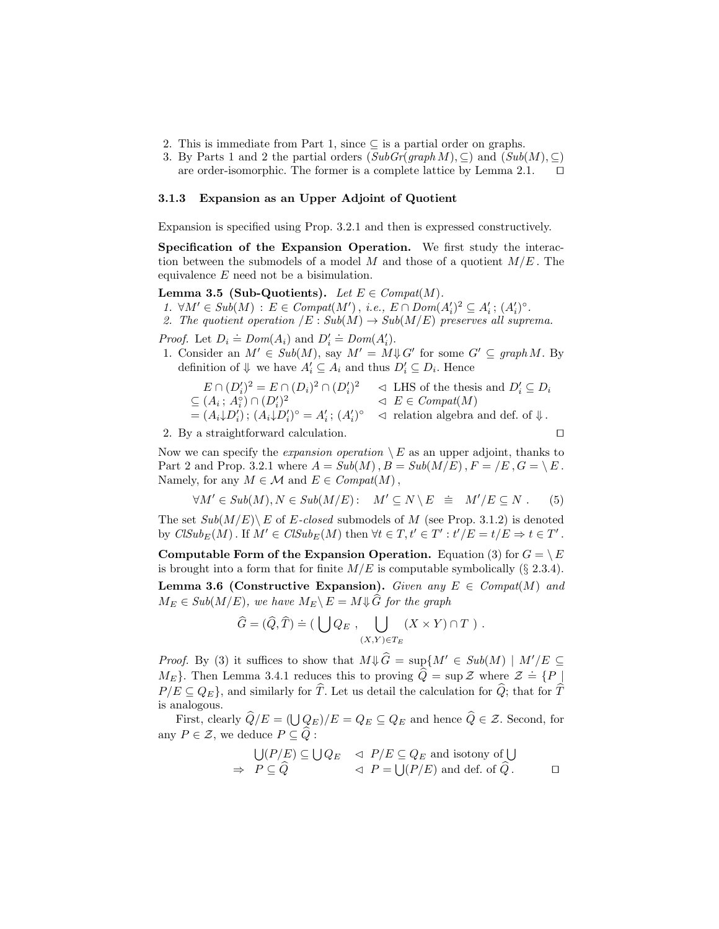- 2. This is immediate from Part 1, since  $\subseteq$  is a partial order on graphs.
- 3. By Parts 1 and 2 the partial orders  $(SubGr(qraph M), \subseteq)$  and  $(Sub(M), \subseteq)$ are order-isomorphic. The former is a complete lattice by Lemma 2.1.  $\Box$

### 3.1.3 Expansion as an Upper Adjoint of Quotient

Expansion is specified using Prop. 3.2.1 and then is expressed constructively.

Specification of the Expansion Operation. We first study the interaction between the submodels of a model  $M$  and those of a quotient  $M/E$ . The equivalence E need not be a bisimulation.

#### Lemma 3.5 (Sub-Quotients). Let  $E \in \mathit{Compat}(M)$ .

- 1.  $\forall M' \in Sub(M) : E \in \text{Compat}(M'), i.e., E \cap \text{Dom}(A_i')^2 \subseteq A_i' ; (A_i')^{\circ}.$
- 2. The quotient operation  $/E : Sub(M) \rightarrow Sub(M/E)$  preserves all suprema.

*Proof.* Let  $D_i \doteq Dom(A_i)$  and  $D'_i \doteq Dom(A'_i)$ .

1. Consider an  $M' \in Sub(M)$ , say  $M' = M \downarrow G'$  for some  $G' \subseteq graph M$ . By definition of  $\Downarrow$  we have  $A'_i \subseteq A_i$  and thus  $D'_i \subseteq D_i$ . Hence

$$
E \cap (D_i')^2 = E \cap (D_i)^2 \cap (D_i')^2 \qquad \triangleleft \text{ LHS of the thesis and } D_i' \subseteq D_i
$$
  
\n
$$
\subseteq (A_i; A_i^{\circ}) \cap (D_i')^2 \qquad \triangleleft E \in Compat(M)
$$
  
\n
$$
= (A_i \downarrow D_i') ; (A_i \downarrow D_i')^{\circ} = A_i' ; (A_i')^{\circ} \qquad \triangleleft \text{ relation algebra and def. of } \Downarrow.
$$

2. By a straightforward calculation.  $\Box$ 

Now we can specify the *expansion operation*  $\setminus E$  as an upper adjoint, thanks to Part 2 and Prop. 3.2.1 where  $A = Sub(M), B = Sub(M/E), F = /E, G = \setminus E$ . Namely, for any  $M \in \mathcal{M}$  and  $E \in \mathit{Compat}(M)$ ,

$$
\forall M' \in Sub(M), N \in Sub(M/E): M' \subseteq N \setminus E \equiv M'/E \subseteq N. \tag{5}
$$

The set  $Sub(M/E) \backslash E$  of E-closed submodels of M (see Prop. 3.1.2) is denoted by  $\text{CISub}_E(M)$ . If  $M' \in \text{CISub}_E(M)$  then  $\forall t \in T$ ,  $t' \in T' : t'/E = t/E \Rightarrow t \in T'$ .

Computable Form of the Expansion Operation. Equation (3) for  $G = \setminus E$ is brought into a form that for finite  $M/E$  is computable symbolically (§ 2.3.4). Lemma 3.6 (Constructive Expansion). Given any  $E \in \textit{Compat}(M)$  and  $M_E \in Sub(M/E)$ , we have  $M_E \backslash E = M \Downarrow \widehat{G}$  for the graph

$$
\widehat{G} = (\widehat{Q}, \widehat{T}) \doteq (\bigcup Q_E , \bigcup_{(X,Y) \in T_E} (X \times Y) \cap T ).
$$

*Proof.* By (3) it suffices to show that  $M\psi \hat{G} = \sup\{M' \in Sub(M) \mid M'/E \subseteq$  $M_E$ . Then Lemma 3.4.1 reduces this to proving  $\hat{Q} = \sup \mathcal{Z}$  where  $\mathcal{Z} = \{P\}$ .  $P/E \subseteq Q_E$ , and similarly for  $\widehat{T}$ . Let us detail the calculation for  $\widehat{Q}$ ; that for  $\widehat{T}$ is analogous.

First, clearly  $Q/E = (\bigcup_{E} Q_{E})/E = Q_{E} \subseteq Q_{E}$  and hence  $Q \in \mathcal{Z}$ . Second, for any  $P \in \mathcal{Z}$ , we deduce  $P \subseteq \widehat{Q}$ :

$$
\bigcup (P/E) \subseteq \bigcup Q_E \quad \vartriangleleft P/E \subseteq Q_E \text{ and isotony of } \bigcup
$$
  
\n
$$
\Rightarrow P \subseteq \widehat{Q} \qquad \vartriangleleft P = \bigcup (P/E) \text{ and def. of } \widehat{Q}.
$$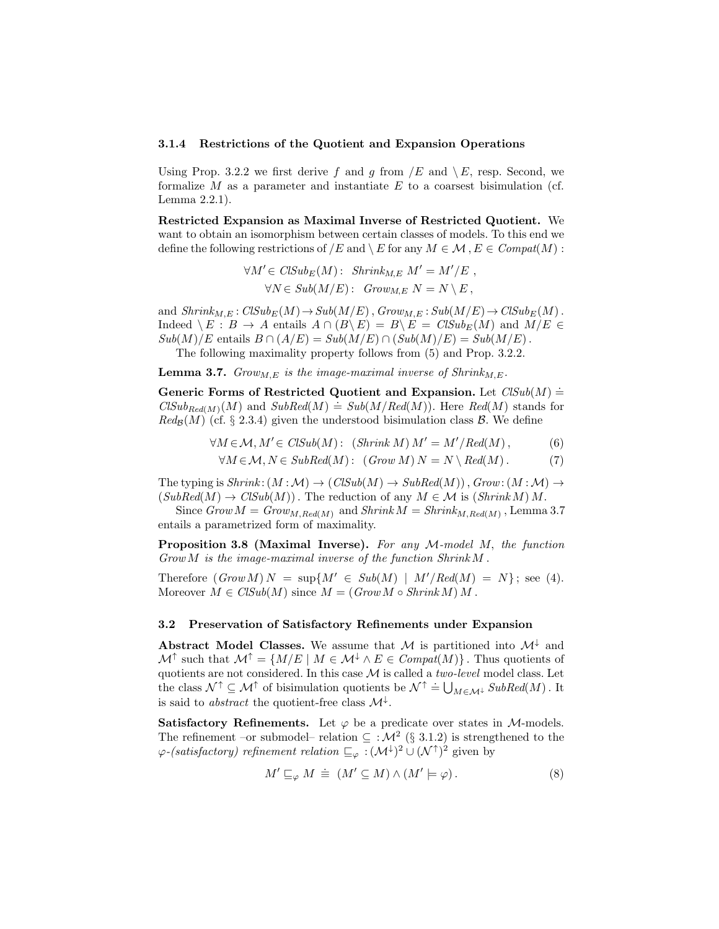#### 3.1.4 Restrictions of the Quotient and Expansion Operations

Using Prop. 3.2.2 we first derive f and g from  $/E$  and  $\setminus E$ , resp. Second, we formalize  $M$  as a parameter and instantiate  $E$  to a coarsest bisimulation (cf. Lemma 2.2.1).

Restricted Expansion as Maximal Inverse of Restricted Quotient. We want to obtain an isomorphism between certain classes of models. To this end we define the following restrictions of  $/E$  and  $\setminus E$  for any  $M \in \mathcal{M}$ ,  $E \in \mathit{Compat}(M)$ :

$$
\forall M' \in ClSub_E(M): Shrink_{M,E} M' = M'/E,
$$
  

$$
\forall N \in Sub(M/E): Grow_{M,E} N = N \setminus E,
$$

and  $Shrink_{M,E}: CISub_E(M) \to Sub(M/E)$ ,  $Group_{M,E}: Sub(M/E) \to CISub_E(M)$ . Indeed  $\setminus E : B \to A$  entails  $A \cap (B \setminus E) = B \setminus E = CISub_E(M)$  and  $M/E \in$  $Sub(M)/E$  entails  $B \cap (A/E) = Sub(M/E) \cap (Sub(M)/E) = Sub(M/E)$ .

The following maximality property follows from (5) and Prop. 3.2.2.

**Lemma 3.7.** Grow<sub>M,E</sub> is the image-maximal inverse of  $Shrink_{M,E}$ .

Generic Forms of Restricted Quotient and Expansion. Let  $\text{ClSub}(M)$  = CLSub<sub>Red(M)</sub>(M) and  $SubRed(M) \doteq Sub(M/Red(M))$ . Here Red(M) stands for  $Red_{\mathcal{B}}(M)$  (cf. § 2.3.4) given the understood bisimulation class  $\mathcal{B}$ . We define

$$
\forall M \in \mathcal{M}, M' \in \text{CISub}(M): \text{ (Shrink } M) M' = M'/\text{Red}(M), \tag{6}
$$

$$
\forall M \in \mathcal{M}, N \in SubRed(M): (Grow\ M)\ N = N \setminus Red(M). \tag{7}
$$

The typing is  $Shrink: (M : \mathcal{M}) \rightarrow (ClSub(M) \rightarrow SubRed(M)), Grow: (M : \mathcal{M}) \rightarrow$  $(SubRed(M) \to ClSub(M))$ . The reduction of any  $M \in \mathcal{M}$  is  $(Shrink M) M$ .

Since  $Grow M = Grow_{M,Red(M)}$  and  $Shrink M = Shrink_{M,Red(M)}$ , Lemma 3.7 entails a parametrized form of maximality.

**Proposition 3.8 (Maximal Inverse).** For any  $M$ -model  $M$ , the function  $Grow M$  is the image-maximal inverse of the function  $Shrink M$ .

Therefore  $(Grow M) N = \sup\{M' \in Sub(M) \mid M'/Red(M) = N\}$ ; see (4). Moreover  $M \in CISub(M)$  since  $M = (Grow M \circ Shrink M) M$ .

#### 3.2 Preservation of Satisfactory Refinements under Expansion

Abstract Model Classes. We assume that M is partitioned into  $\mathcal{M}^{\downarrow}$  and  $\mathcal{M}^{\uparrow}$  such that  $\mathcal{M}^{\uparrow} = \{M/E \mid M \in \mathcal{M}^{\downarrow} \land E \in \text{Compat}(M)\}\.$  Thus quotients of quotients are not considered. In this case  $\mathcal M$  is called a *two-level* model class. Let the class  $\mathcal{N}^{\uparrow} \subseteq \mathcal{M}^{\uparrow}$  of bisimulation quotients be  $\mathcal{N}^{\uparrow} \doteq \bigcup_{M \in \mathcal{M}^{\downarrow}} SubRed(M)$ . It is said to *abstract* the quotient-free class  $\mathcal{M}^{\downarrow}$ .

Satisfactory Refinements. Let  $\varphi$  be a predicate over states in *M*-models. The refinement –or submodel– relation  $\subseteq : \mathcal{M}^2$  (§ 3.1.2) is strengthened to the  $\varphi$ -(satisfactory) refinement relation  $\sqsubseteq_{\varphi} : (\mathcal{M}^{\downarrow})^2 \cup (\mathcal{N}^{\uparrow})^2$  given by

$$
M' \sqsubseteq_{\varphi} M \doteq (M' \subseteq M) \wedge (M' \models \varphi).
$$
\n<sup>(8)</sup>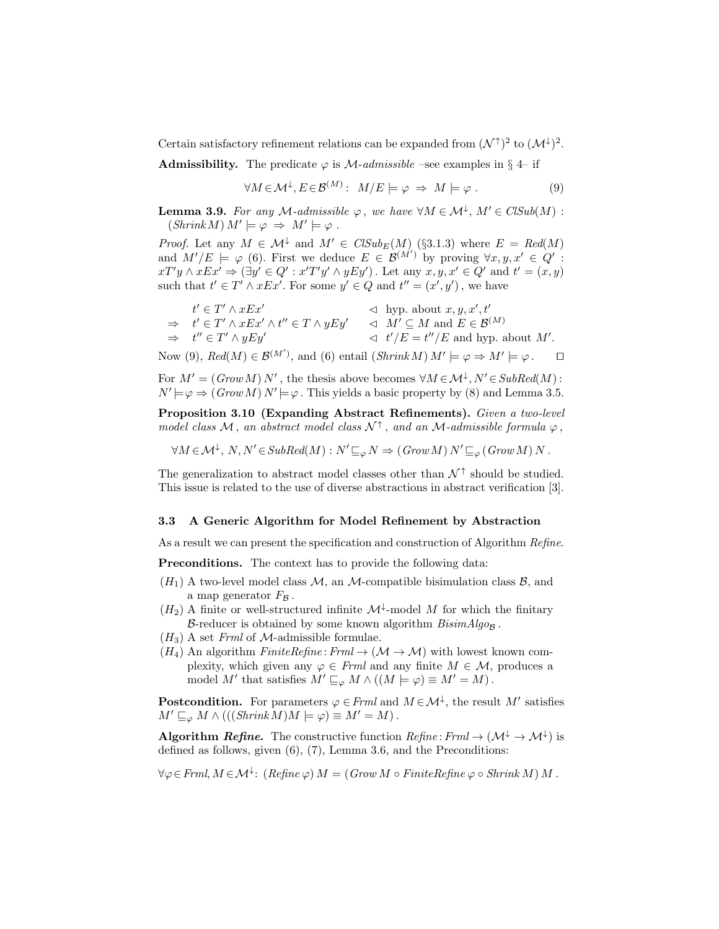Certain satisfactory refinement relations can be expanded from  $(\mathcal{N}^{\uparrow})^2$  to  $(\mathcal{M}^{\downarrow})^2$ .

**Admissibility.** The predicate  $\varphi$  is *M*-admissible –see examples in § 4– if

$$
\forall M \in \mathcal{M}^{\downarrow}, E \in \mathcal{B}^{(M)}: M/E \models \varphi \Rightarrow M \models \varphi . \tag{9}
$$

**Lemma 3.9.** For any M-admissible  $\varphi$ , we have  $\forall M \in \mathcal{M}^{\downarrow}$ ,  $M' \in \mathit{CISub}(M)$ :  $(Shrink M) M' \models \varphi \Rightarrow M' \models \varphi$ .

*Proof.* Let any  $M \in \mathcal{M}^{\downarrow}$  and  $M' \in \text{ClSub}_E(M)$  (§3.1.3) where  $E = \text{Red}(M)$ and  $M'/E = \varphi$  (6). First we deduce  $E \in \mathcal{B}^{(M')}$  by proving  $\forall x, y, x' \in \mathcal{Q}'$ :  $xT'y \wedge xEx' \Rightarrow (\exists y' \in Q' : x'T'y' \wedge yEy')$ . Let any  $x, y, x' \in Q'$  and  $t' = (x, y)$ such that  $t' \in T' \wedge xEx'$ . For some  $y' \in Q$  and  $t'' = (x', y')$ , we have

$$
\begin{array}{lll}\n t' \in T' \land xEx' & \lhd \quad \text{hyp. about } x, y, x', t' \\
 \Rightarrow \quad t' \in T' \land xEx' \land t'' \in T \land yEy' & \lhd \quad M' \subseteq M \text{ and } E \in \mathcal{B}^{(M)} \\
 \Rightarrow \quad t'' \in T' \land yEy' & \lhd \quad t'/E = t''/E \text{ and hyp. about } M'.\n \end{array}
$$

Now (9),  $Red(M) \in \mathcal{B}^{(M')}$ , and (6) entail  $(Shrink M) M' \models \varphi \Rightarrow M' \models \varphi$ .  $\Box$ 

For 
$$
M' = (Grow M) N'
$$
, the thesis above becomes  $\forall M \in \mathcal{M}^{\downarrow}, N' \in SubRed(M):$   
 $N' \models \varphi \Rightarrow (Grow M) N' \models \varphi$ . This yields a basic property by (8) and Lemma 3.5.

Proposition 3.10 (Expanding Abstract Refinements). Given a two-level model class M, an abstract model class  $\mathcal{N}^{\uparrow}$ , and an M-admissible formula  $\varphi$ ,

$$
\forall M \in \mathcal{M}^{\downarrow}, N, N' \in SubRed(M) : N' \sqsubseteq_{\varphi} N \Rightarrow (Grow M) N' \sqsubseteq_{\varphi} (Grow M) N.
$$

The generalization to abstract model classes other than  $\mathcal{N}^{\uparrow}$  should be studied. This issue is related to the use of diverse abstractions in abstract verification [3].

#### 3.3 A Generic Algorithm for Model Refinement by Abstraction

As a result we can present the specification and construction of Algorithm Refine.

Preconditions. The context has to provide the following data:

- $(H_1)$  A two-level model class  $M$ , an M-compatible bisimulation class  $\mathcal{B}$ , and a map generator  $F_B$ .
- $(H_2)$  A finite or well-structured infinite  $\mathcal{M}^{\downarrow}$ -model M for which the finitary B-reducer is obtained by some known algorithm  $BisimAlg_{\mathcal{O}_{\mathcal{B}}}$ .
- $(H_3)$  A set Frml of M-admissible formulae.
- $(H_4)$  An algorithm  $FiniteRefine: Frm \rightarrow (\mathcal{M} \rightarrow \mathcal{M})$  with lowest known complexity, which given any  $\varphi \in \mathit{Frml}$  and any finite  $M \in \mathcal{M}$ , produces a model M' that satisfies  $M' \sqsubseteq_{\varphi} M \wedge ((M \models \varphi) \equiv M' = M)$ .

**Postcondition.** For parameters  $\varphi \in Frml$  and  $M \in \mathcal{M}^{\downarrow}$ , the result M' satisfies  $M' \sqsubseteq_{\varphi} M \wedge (((Shrink M)M \models \varphi) \equiv M' = M).$ 

**Algorithm Refine.** The constructive function  $Refine: Frm \rightarrow (\mathcal{M}^{\downarrow} \rightarrow \mathcal{M}^{\downarrow})$  is defined as follows, given (6), (7), Lemma 3.6, and the Preconditions:

 $\forall \varphi \in \mathit{Frml}, M \in \mathcal{M}^{\downarrow}$ : (Refine  $\varphi$ )  $M = (\mathit{Grow}\,M \circ \mathit{FiniteRefine}\, \varphi \circ \mathit{Shrink}\,M)$  M .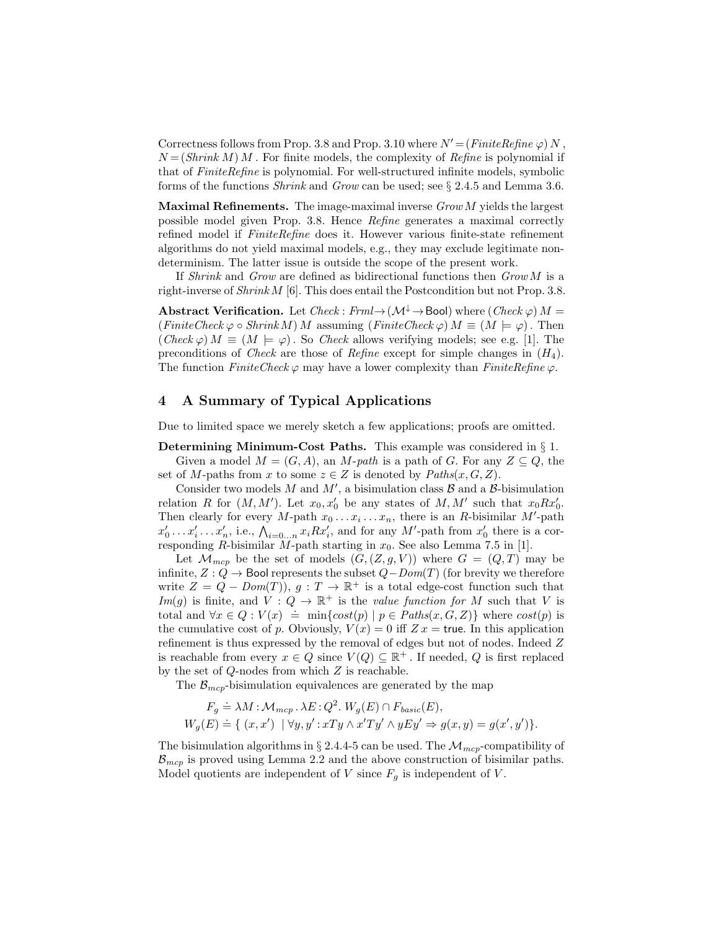Correctness follows from Prop. 3.8 and Prop. 3.10 where  $N' = (FiniteRefine \varphi) N$ .  $N = (Shrink M) M$ . For finite models, the complexity of Refine is polynomial if that of FiniteRefine is polynomial. For well-structured infinite models, symbolic forms of the functions Shrink and Grow can be used; see § 2.4.5 and Lemma 3.6.

**Maximal Refinements.** The image-maximal inverse  $Grow\ M$  yields the largest possible model given Prop. 3.8. Hence Refine generates a maximal correctly refined model if  $FiniteRefine$  does it. However various finite-state refinement algorithms do not yield maximal models, e.g., they may exclude legitimate nondeterminism. The latter issue is outside the scope of the present work.

If Shrink and Grow are defined as bidirectional functions then  $Grow M$  is a right-inverse of Shrink M [6]. This does entail the Postcondition but not Prop. 3.8.

Abstract Verification. Let  $Check : Frm \rightarrow (\mathcal{M}^{\downarrow} \rightarrow Bool)$  where  $(Check \varphi) M =$  $(FiniteCheck \varphi \circ Shrink M)$  M assuming  $(FiniteCheck \varphi)$   $M \equiv (M \models \varphi)$ . Then  $(Check \varphi) M \equiv (M \models \varphi)$ . So *Check* allows verifying models; see e.g. [1]. The preconditions of *Check* are those of *Refine* except for simple changes in  $(H_4)$ . The function  $FiniteCheck \varphi$  may have a lower complexity than  $FiniteRefine \varphi$ .

# 4 A Summary of Typical Applications

Due to limited space we merely sketch a few applications; proofs are omitted.

Determining Minimum-Cost Paths. This example was considered in § 1. Given a model  $M = (G, A)$ , an M-path is a path of G. For any  $Z \subseteq Q$ , the set of M-paths from x to some  $z \in Z$  is denoted by  $Paths(x, G, Z)$ .

Consider two models M and  $M'$ , a bisimulation class  $\mathcal B$  and a  $\mathcal B$ -bisimulation relation R for  $(M, M')$ . Let  $x_0, x'_0$  be any states of  $M, M'$  such that  $x_0 R x'_0$ . Then clearly for every M-path  $x_0 \ldots x_i \ldots x_n$ , there is an R-bisimilar M'-path  $x'_0 \ldots x'_i \ldots x'_n$ , i.e.,  $\bigwedge_{i=0...n} x_i R x'_i$ , and for any M'-path from  $x'_0$  there is a corresponding R-bisimilar M-path starting in  $x_0$ . See also Lemma 7.5 in [1].

Let  $\mathcal{M}_{mcp}$  be the set of models  $(G,(Z,g,V))$  where  $G = (Q,T)$  may be infinite,  $Z: Q \to \mathsf{Bool}$  represents the subset  $Q-Dom(T)$  (for brevity we therefore write  $Z = Q - Dom(T)$ ,  $g: T \to \mathbb{R}^+$  is a total edge-cost function such that Im(g) is finite, and  $V: Q \to \mathbb{R}^+$  is the value function for M such that V is total and  $\forall x \in Q : V(x) \doteq \min\{cost(p) | p \in Paths(x, G, Z)\}\$  where  $cost(p)$  is the cumulative cost of p. Obviously,  $V(x) = 0$  iff  $Z x =$  true. In this application refinement is thus expressed by the removal of edges but not of nodes. Indeed Z is reachable from every  $x \in Q$  since  $V(Q) \subseteq \mathbb{R}^+$ . If needed, Q is first replaced by the set of  $Q$ -nodes from which  $Z$  is reachable.

The  $\mathcal{B}_{mcp}$ -bisimulation equivalences are generated by the map

$$
F_g \doteq \lambda M : \mathcal{M}_{mcp} \cdot \lambda E : Q^2. W_g(E) \cap F_{basic}(E),
$$
  
\n
$$
W_g(E) \doteq \{ (x, x') \mid \forall y, y' : xTy \wedge x'Ty' \wedge yEy' \Rightarrow g(x, y) = g(x', y') \}.
$$

The bisimulation algorithms in § 2.4.4-5 can be used. The  $\mathcal{M}_{mer}$ -compatibility of  $B_{mcp}$  is proved using Lemma 2.2 and the above construction of bisimilar paths. Model quotients are independent of V since  $F<sub>g</sub>$  is independent of V.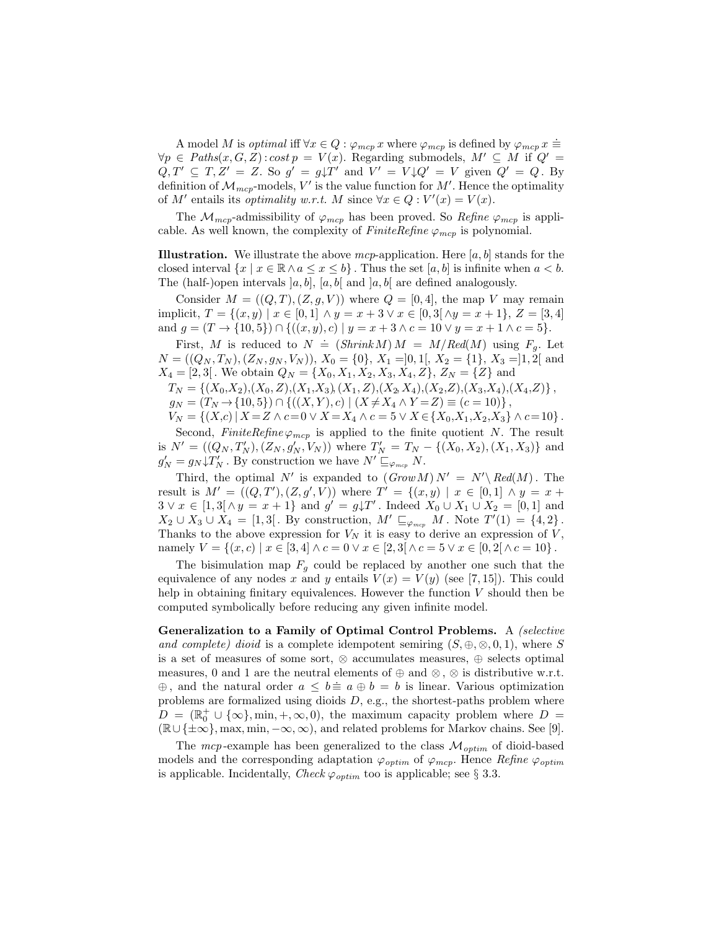A model M is *optimal* iff  $\forall x \in Q : \varphi_{mcp} x$  where  $\varphi_{mcp}$  is defined by  $\varphi_{mcp} x \equiv$  $\forall p \in \text{Paths}(x, G, Z) : \text{cost } p = V(x)$ . Regarding submodels,  $M' \subseteq M$  if  $Q' =$  $Q, T' \subseteq T, Z' = Z$ . So  $g' = g\downarrow T'$  and  $V' = V\downarrow Q' = V$  given  $Q' = Q$ . By definition of  $\mathcal{M}_{mcp}$ -models, V' is the value function for  $M'$ . Hence the optimality of M' entails its *optimality* w.r.t. M since  $\forall x \in Q : V'(x) = V(x)$ .

The  $\mathcal{M}_{mcp}$ -admissibility of  $\varphi_{mcp}$  has been proved. So *Refine*  $\varphi_{mcp}$  is applicable. As well known, the complexity of FiniteRefine  $\varphi_{mcp}$  is polynomial.

**Illustration.** We illustrate the above mcp-application. Here  $[a, b]$  stands for the closed interval  $\{x \mid x \in \mathbb{R} \land a \leq x \leq b\}$ . Thus the set  $[a, b]$  is infinite when  $a < b$ . The (half-)open intervals  $[a, b]$ ,  $[a, b]$  and  $[a, b]$  are defined analogously.

Consider  $M = ((Q, T), (Z, g, V))$  where  $Q = [0, 4]$ , the map V may remain implicit,  $T = \{(x, y) \mid x \in [0, 1] \land y = x + 3 \lor x \in [0, 3[\land y = x + 1], Z = [3, 4]$ and  $g = (T \to \{10, 5\}) \cap \{((x, y), c) \mid y = x + 3 \land c = 10 \lor y = x + 1 \land c = 5\}.$ 

First, M is reduced to  $N = (ShrinkM) M = M/Red(M)$  using  $F_g$ . Let  $N = ((Q_N, T_N), (Z_N, g_N, V_N)), X_0 = \{0\}, X_1 = ]0,1[, X_2 = \{1\}, X_3 = ]1,2[$  and  $X_4 = [2, 3]$ . We obtain  $Q_N = \{X_0, X_1, X_2, X_3, X_4, Z\}$ ,  $Z_N = \{Z\}$  and

 $T_N = \{(X_0, X_2), (X_0, Z), (X_1, X_3), (X_1, Z), (X_2, X_4), (X_2, Z), (X_3, X_4), (X_4, Z)\},$  $g_N = (T_N \rightarrow \{10, 5\}) \cap \{((X, Y), c) \mid (X \neq X_4 \land Y = Z) \equiv (c = 10)\}$ 

$$
y_N = (1_N \rightarrow 10, 0) \quad (1_N \rightarrow 1) \quad (1_N \rightarrow 1) \quad (1_N \rightarrow 1) \quad (1_N \rightarrow 1) \quad (1_N \rightarrow 1) \quad (1_N \rightarrow 1) \quad (1_N \rightarrow 1) \quad (1_N \rightarrow 1) \quad (1_N \rightarrow 1) \quad (1_N \rightarrow 1) \quad (1_N \rightarrow 1) \quad (1_N \rightarrow 1) \quad (1_N \rightarrow 1) \quad (1_N \rightarrow 1) \quad (1_N \rightarrow 1) \quad (1_N \rightarrow 1) \quad (1_N \rightarrow 1) \quad (1_N \rightarrow 1) \quad (1_N \rightarrow 1) \quad (1_N \rightarrow 1) \quad (1_N \rightarrow 1) \quad (1_N \rightarrow 1) \quad (1_N \rightarrow 1) \quad (1_N \rightarrow 1) \quad (1_N \rightarrow 1) \quad (1_N \rightarrow 1) \quad (1_N \rightarrow 1) \quad (1_N \rightarrow 1) \quad (1_N \rightarrow 1) \quad (1_N \rightarrow 1) \quad (1_N \rightarrow 1) \quad (1_N \rightarrow 1) \quad (1_N \rightarrow 1) \quad (1_N \rightarrow 1) \quad (1_N \rightarrow 1) \quad (1_N \rightarrow 1) \quad (1_N \rightarrow 1) \quad (1_N \rightarrow 1) \quad (1_N \rightarrow 1) \quad (1_N \rightarrow 1) \quad (1_N \rightarrow 1) \quad (1_N \rightarrow 1) \quad (1_N \rightarrow 1) \quad (1_N \rightarrow 1) \quad (1_N \rightarrow 1) \quad (1_N \rightarrow 1) \quad (1_N \rightarrow 1) \quad (1_N \rightarrow 1) \quad (1_N \rightarrow 1) \quad (1_N \rightarrow 1) \quad (1_N \rightarrow 1) \quad (1_N \rightarrow 1) \quad (1_N \rightarrow 1) \quad (1_N \rightarrow 1) \quad (1_N \rightarrow 1) \quad (1_N \rightarrow 1) \quad (1_N \rightarrow 1) \quad (1_N \rightarrow 1) \quad (1_N \rightarrow 1) \quad (1_N \rightarrow 1) \quad (1_N \rightarrow 1) \quad (1_N \rightarrow 1) \quad (1_N \rightarrow 1) \quad (1_N \rightarrow 1) \quad (1_N \rightarrow 1) \quad (1_N \rightarrow 1) \quad (1_N \rightarrow 1) \quad (1_N \rightarrow 1) \quad (1_N \rightarrow 1) \quad (1_N \rightarrow 1) \quad (1_N \rightarrow 1) \quad (1_N \rightarrow 1) \quad (1_N \rightarrow 1) \quad (1_N \rightarrow 1) \quad (1
$$

Second, FiniteRefine  $\varphi_{mcp}$  is applied to the finite quotient N. The result is  $N' = ((Q_N, T'_N), (Z_N, g'_N, V_N))$  where  $T'_N = T_N - \{(X_0, X_2), (X_1, X_3)\}\$  and  $g'_N = g_N \downarrow T'_N$ . By construction we have  $N' \sqsubseteq_{\varphi_{mcp}} N$ .

Third, the optimal N' is expanded to  $(Grow M) N' = N' \backslash Red(M)$ . The result is  $M' = ((Q, T'), (Z, g', V))$  where  $T' = \{(x, y) | x \in [0, 1] \land y = x +$  $3 \vee x \in [1,3[ \wedge y = x + 1] \text{ and } g' = g \downarrow T'$ . Indeed  $X_0 \cup X_1 \cup X_2 = [0,1]$  and  $X_2 \cup X_3 \cup X_4 = [1,3[$ . By construction,  $M' \sqsubseteq_{\varphi_{mcp}} M$ . Note  $T'(1) = \{4,2\}$ . Thanks to the above expression for  $V_N$  it is easy to derive an expression of  $\dot{V}$ , namely  $V = \{(x, c) \mid x \in [3, 4] \land c = 0 \lor x \in [2, 3[ \land c = 5 \lor x \in [0, 2[ \land c = 10 \}$ .

The bisimulation map  $F_q$  could be replaced by another one such that the equivalence of any nodes x and y entails  $V(x) = V(y)$  (see [7, 15]). This could help in obtaining finitary equivalences. However the function  $V$  should then be computed symbolically before reducing any given infinite model.

Generalization to a Family of Optimal Control Problems. A (selective and complete) dioid is a complete idempotent semiring  $(S, \oplus, \otimes, 0, 1)$ , where S is a set of measures of some sort, ⊗ accumulates measures, ⊕ selects optimal measures, 0 and 1 are the neutral elements of  $\oplus$  and  $\otimes$ ,  $\otimes$  is distributive w.r.t.  $\oplus$ , and the natural order  $a \leq b \equiv a \oplus b = b$  is linear. Various optimization problems are formalized using dioids  $D$ , e.g., the shortest-paths problem where  $D = (\mathbb{R}_0^+ \cup {\infty}, \min, +, \infty, 0)$ , the maximum capacity problem where  $D =$  $(\mathbb{R}\cup\{\pm\infty\},\max,\min,-\infty,\infty)$ , and related problems for Markov chains. See [9].

The mcp-example has been generalized to the class  $\mathcal{M}_{optim}$  of dioid-based models and the corresponding adaptation  $\varphi_{\text{optim}}$  of  $\varphi_{\text{mcp}}$ . Hence Refine  $\varphi_{\text{optim}}$ is applicable. Incidentally, Check  $\varphi_{\text{optim}}$  too is applicable; see § 3.3.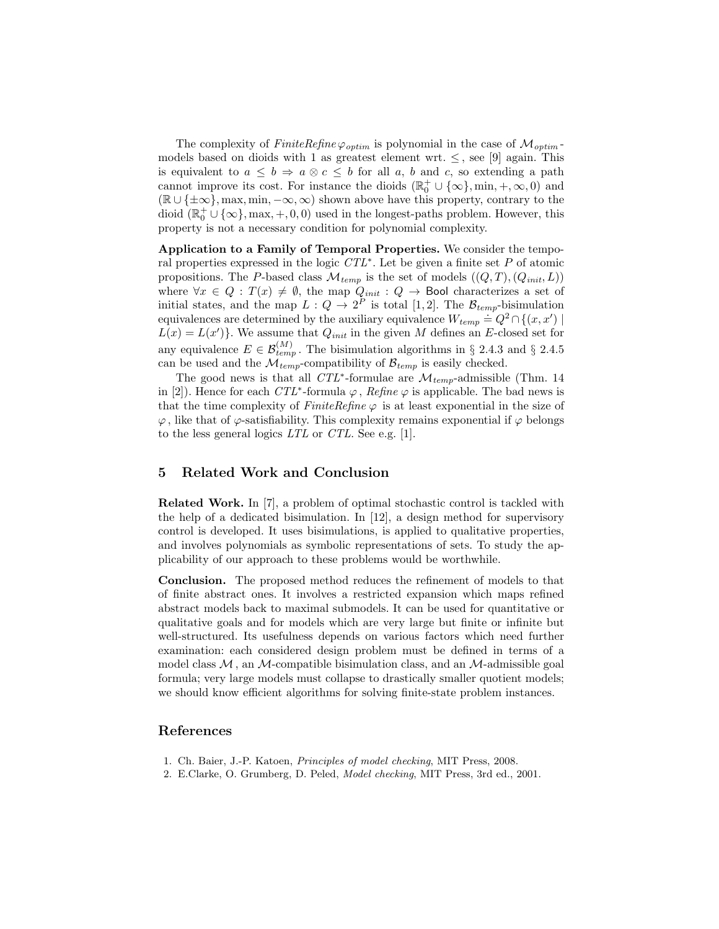The complexity of  $FiniteRefine \varphi_{optim}$  is polynomial in the case of  $\mathcal{M}_{optim}$ models based on dioids with 1 as greatest element wrt.  $\leq$ , see [9] again. This is equivalent to  $a \leq b \Rightarrow a \otimes c \leq b$  for all a, b and c, so extending a path cannot improve its cost. For instance the dioids  $(\mathbb{R}_0^+ \cup {\infty}$ , min,  $+$ ,  $\infty$ , 0) and  $(\mathbb{R} \cup \{\pm \infty\}, \max, \min, -\infty, \infty)$  shown above have this property, contrary to the dioid  $(\mathbb{R}_0^+ \cup {\infty}$ , max,  $+, 0, 0)$  used in the longest-paths problem. However, this property is not a necessary condition for polynomial complexity.

Application to a Family of Temporal Properties. We consider the temporal properties expressed in the logic CTL<sup>∗</sup> . Let be given a finite set P of atomic propositions. The P-based class  $\mathcal{M}_{temp}$  is the set of models  $((Q, T), (Q_{init}, L))$ where  $\forall x \in Q : T(x) \neq \emptyset$ , the map  $Q_{init} : Q \to \mathsf{Bool}$  characterizes a set of initial states, and the map  $L: Q \to 2^P$  is total [1,2]. The  $\mathcal{B}_{temp}$ -bisimulation equivalences are determined by the auxiliary equivalence  $W_{temp} \doteq Q^2 \cap \{(x, x') \mid$  $L(x) = L(x')$ . We assume that  $Q_{init}$  in the given M defines an E-closed set for any equivalence  $E \in \mathcal{B}_{temp}^{(M)}$ . The bisimulation algorithms in § 2.4.3 and § 2.4.5 can be used and the  $\mathcal{M}_{temp}$ -compatibility of  $\mathcal{B}_{temp}$  is easily checked.

The good news is that all  $CTL^*$ -formulae are  $\mathcal{M}_{temp}$ -admissible (Thm. 14 in [2]). Hence for each  $CTL^*$ -formula  $\varphi$ , Refine  $\varphi$  is applicable. The bad news is that the time complexity of  $FiniteRefine \varphi$  is at least exponential in the size of  $\varphi$ , like that of  $\varphi$ -satisfiability. This complexity remains exponential if  $\varphi$  belongs to the less general logics LTL or CTL. See e.g. [1].

# 5 Related Work and Conclusion

Related Work. In [7], a problem of optimal stochastic control is tackled with the help of a dedicated bisimulation. In [12], a design method for supervisory control is developed. It uses bisimulations, is applied to qualitative properties, and involves polynomials as symbolic representations of sets. To study the applicability of our approach to these problems would be worthwhile.

Conclusion. The proposed method reduces the refinement of models to that of finite abstract ones. It involves a restricted expansion which maps refined abstract models back to maximal submodels. It can be used for quantitative or qualitative goals and for models which are very large but finite or infinite but well-structured. Its usefulness depends on various factors which need further examination: each considered design problem must be defined in terms of a model class  $M$ , an M-compatible bisimulation class, and an M-admissible goal formula; very large models must collapse to drastically smaller quotient models; we should know efficient algorithms for solving finite-state problem instances.

# References

- 1. Ch. Baier, J.-P. Katoen, Principles of model checking, MIT Press, 2008.
- 2. E.Clarke, O. Grumberg, D. Peled, Model checking, MIT Press, 3rd ed., 2001.